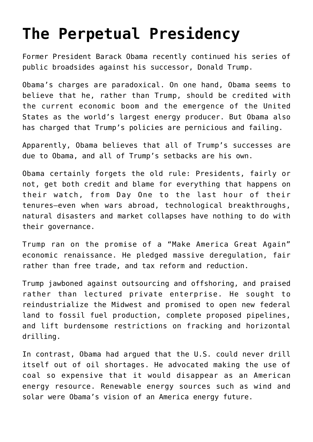## **[The Perpetual Presidency](https://intellectualtakeout.org/2018/12/the-perpetual-presidency/)**

Former President Barack Obama recently continued his series of public broadsides against his successor, Donald Trump.

Obama's charges are paradoxical. On one hand, Obama seems to believe that he, rather than Trump, should be credited with the current economic boom and the emergence of the United States as the world's largest energy producer. But Obama also has charged that Trump's policies are pernicious and failing.

Apparently, Obama believes that all of Trump's successes are due to Obama, and all of Trump's setbacks are his own.

Obama certainly forgets the old rule: Presidents, fairly or not, get both credit and blame for everything that happens on their watch, from Day One to the last hour of their tenures—even when wars abroad, technological breakthroughs, natural disasters and market collapses have nothing to do with their governance.

Trump ran on the promise of a "Make America Great Again" economic renaissance. He pledged massive deregulation, fair rather than free trade, and tax reform and reduction.

Trump jawboned against outsourcing and offshoring, and praised rather than lectured private enterprise. He sought to reindustrialize the Midwest and promised to open new federal land to fossil fuel production, complete proposed pipelines, and lift burdensome restrictions on fracking and horizontal drilling.

In contrast, Obama had argued that the U.S. could never drill itself out of oil shortages. He advocated making the use of coal so expensive that it would disappear as an American energy resource. Renewable energy sources such as wind and solar were Obama's vision of an America energy future.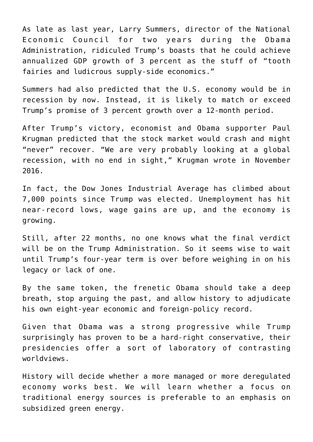As late as last year, Larry Summers, director of the National Economic Council for two years during the Obama Administration, ridiculed Trump's boasts that he could achieve annualized GDP growth of 3 percent as the stuff of "tooth fairies and ludicrous supply-side economics."

Summers had also predicted that the U.S. economy would be in recession by now. Instead, it is likely to match or exceed Trump's promise of 3 percent growth over a 12-month period.

After Trump's victory, economist and Obama supporter Paul Krugman predicted that the stock market would crash and might "never" recover. "We are very probably looking at a global recession, with no end in sight," Krugman wrote in November 2016.

In fact, the Dow Jones Industrial Average has climbed about 7,000 points since Trump was elected. Unemployment has hit near-record lows, wage gains are up, and the economy is growing.

Still, after 22 months, no one knows what the final verdict will be on the Trump Administration. So it seems wise to wait until Trump's four-year term is over before weighing in on his legacy or lack of one.

By the same token, the frenetic Obama should take a deep breath, stop arguing the past, and allow history to adjudicate his own eight-year economic and foreign-policy record.

Given that Obama was a strong progressive while Trump surprisingly has proven to be a hard-right conservative, their presidencies offer a sort of laboratory of contrasting worldviews.

History will decide whether a more managed or more deregulated economy works best. We will learn whether a focus on traditional energy sources is preferable to an emphasis on subsidized green energy.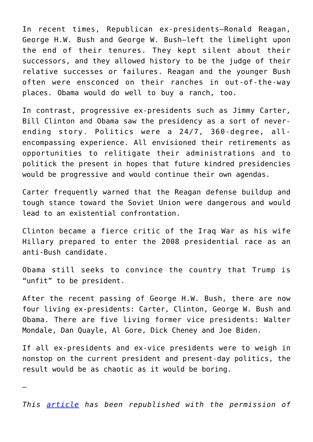In recent times, Republican ex-presidents—Ronald Reagan, George H.W. Bush and George W. Bush—left the limelight upon the end of their tenures. They kept silent about their successors, and they allowed history to be the judge of their relative successes or failures. Reagan and the younger Bush often were ensconced on their ranches in out-of-the-way places. Obama would do well to buy a ranch, too.

In contrast, progressive ex-presidents such as Jimmy Carter, Bill Clinton and Obama saw the presidency as a sort of neverending story. Politics were a 24/7, 360-degree, allencompassing experience. All envisioned their retirements as opportunities to relitigate their administrations and to politick the present in hopes that future kindred presidencies would be progressive and would continue their own agendas.

Carter frequently warned that the Reagan defense buildup and tough stance toward the Soviet Union were dangerous and would lead to an existential confrontation.

Clinton became a fierce critic of the Iraq War as his wife Hillary prepared to enter the 2008 presidential race as an anti-Bush candidate.

Obama still seeks to convince the country that Trump is "unfit" to be president.

After the recent passing of George H.W. Bush, there are now four living ex-presidents: Carter, Clinton, George W. Bush and Obama. There are five living former vice presidents: Walter Mondale, Dan Quayle, Al Gore, Dick Cheney and Joe Biden.

If all ex-presidents and ex-vice presidents were to weigh in nonstop on the current president and present-day politics, the result would be as chaotic as it would be boring.

—

*This [article](http://amgreatness.com/2018/12/05/the-perpetual-presidency/) has been republished with the permission of*